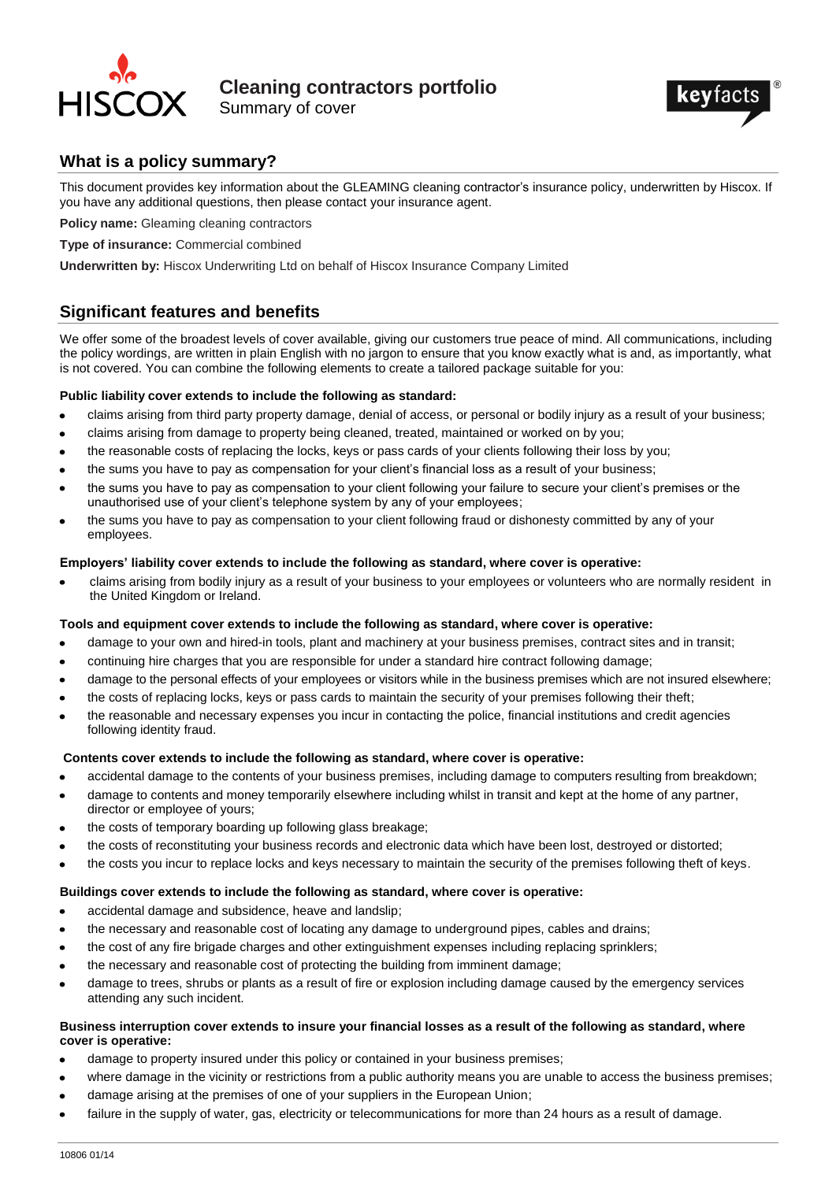

**Cleaning contractors portfolio** Summary of cover



# **What is a policy summary?**

This document provides key information about the GLEAMING cleaning contractor's insurance policy, underwritten by Hiscox. If you have any additional questions, then please contact your insurance agent.

**Policy name:** Gleaming cleaning contractors

**Type of insurance:** Commercial combined

**Underwritten by:** Hiscox Underwriting Ltd on behalf of Hiscox Insurance Company Limited

# **Significant features and benefits**

We offer some of the broadest levels of cover available, giving our customers true peace of mind. All communications, including the policy wordings, are written in plain English with no jargon to ensure that you know exactly what is and, as importantly, what is not covered. You can combine the following elements to create a tailored package suitable for you:

### **Public liability cover extends to include the following as standard:**

- claims arising from third party property damage, denial of access, or personal or bodily injury as a result of your business;  $\bullet$
- claims arising from damage to property being cleaned, treated, maintained or worked on by you;
- the reasonable costs of replacing the locks, keys or pass cards of your clients following their loss by you;
- the sums you have to pay as compensation for your client's financial loss as a result of your business;
- the sums you have to pay as compensation to your client following your failure to secure your client's premises or the unauthorised use of your client's telephone system by any of your employees;
- the sums you have to pay as compensation to your client following fraud or dishonesty committed by any of your employees.

#### **Employers' liability cover extends to include the following as standard, where cover is operative:**

claims arising from bodily injury as a result of your business to your employees or volunteers who are normally resident in the United Kingdom or Ireland.

### **Tools and equipment cover extends to include the following as standard, where cover is operative:**

- damage to your own and hired-in tools, plant and machinery at your business premises, contract sites and in transit;  $\bullet$
- continuing hire charges that you are responsible for under a standard hire contract following damage;
- damage to the personal effects of your employees or visitors while in the business premises which are not insured elsewhere;
- the costs of replacing locks, keys or pass cards to maintain the security of your premises following their theft;
- the reasonable and necessary expenses you incur in contacting the police, financial institutions and credit agencies following identity fraud.

### **Contents cover extends to include the following as standard, where cover is operative:**

- accidental damage to the contents of your business premises, including damage to computers resulting from breakdown;
- damage to contents and money temporarily elsewhere including whilst in transit and kept at the home of any partner, director or employee of yours;
- the costs of temporary boarding up following glass breakage;
- the costs of reconstituting your business records and electronic data which have been lost, destroyed or distorted;
- the costs you incur to replace locks and keys necessary to maintain the security of the premises following theft of keys.

### **Buildings cover extends to include the following as standard, where cover is operative:**

- accidental damage and subsidence, heave and landslip;  $\bullet$
- the necessary and reasonable cost of locating any damage to underground pipes, cables and drains;
- the cost of any fire brigade charges and other extinguishment expenses including replacing sprinklers;
- the necessary and reasonable cost of protecting the building from imminent damage;
- damage to trees, shrubs or plants as a result of fire or explosion including damage caused by the emergency services attending any such incident.

#### **Business interruption cover extends to insure your financial losses as a result of the following as standard, where cover is operative:**

- damage to property insured under this policy or contained in your business premises;
- where damage in the vicinity or restrictions from a public authority means you are unable to access the business premises;
- damage arising at the premises of one of your suppliers in the European Union;
- failure in the supply of water, gas, electricity or telecommunications for more than 24 hours as a result of damage.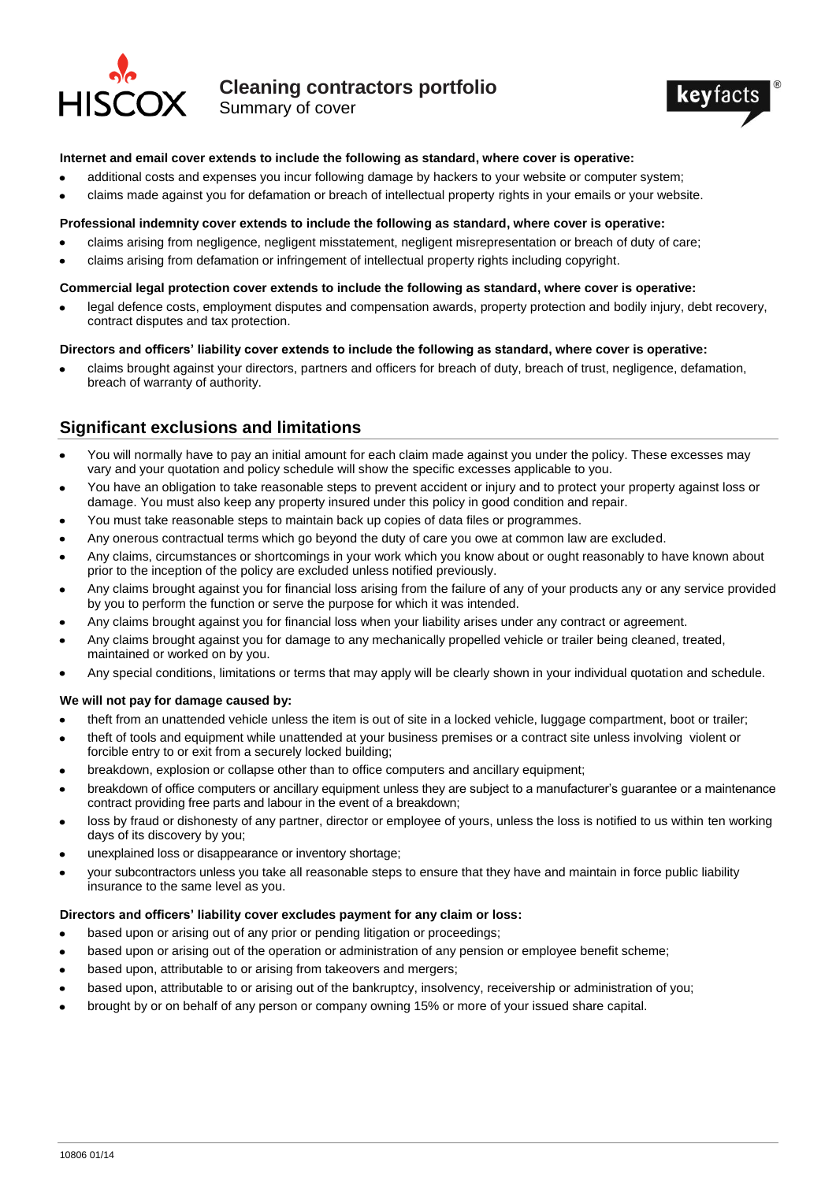

# **Cleaning contractors portfolio**

Summary of cover



#### **Internet and email cover extends to include the following as standard, where cover is operative:**

- additional costs and expenses you incur following damage by hackers to your website or computer system;
- claims made against you for defamation or breach of intellectual property rights in your emails or your website.

#### **Professional indemnity cover extends to include the following as standard, where cover is operative:**

- claims arising from negligence, negligent misstatement, negligent misrepresentation or breach of duty of care;
- claims arising from defamation or infringement of intellectual property rights including copyright.  $\bullet$

#### **Commercial legal protection cover extends to include the following as standard, where cover is operative:**

legal defence costs, employment disputes and compensation awards, property protection and bodily injury, debt recovery,  $\bullet$ contract disputes and tax protection.

#### **Directors and officers' liability cover extends to include the following as standard, where cover is operative:**

claims brought against your directors, partners and officers for breach of duty, breach of trust, negligence, defamation, breach of warranty of authority.

## **Significant exclusions and limitations**

- You will normally have to pay an initial amount for each claim made against you under the policy. These excesses may vary and your quotation and policy schedule will show the specific excesses applicable to you.
- You have an obligation to take reasonable steps to prevent accident or injury and to protect your property against loss or damage. You must also keep any property insured under this policy in good condition and repair.
- You must take reasonable steps to maintain back up copies of data files or programmes.
- Any onerous contractual terms which go beyond the duty of care you owe at common law are excluded.
- Any claims, circumstances or shortcomings in your work which you know about or ought reasonably to have known about prior to the inception of the policy are excluded unless notified previously.
- Any claims brought against you for financial loss arising from the failure of any of your products any or any service provided by you to perform the function or serve the purpose for which it was intended.
- Any claims brought against you for financial loss when your liability arises under any contract or agreement.
- Any claims brought against you for damage to any mechanically propelled vehicle or trailer being cleaned, treated, maintained or worked on by you.
- Any special conditions, limitations or terms that may apply will be clearly shown in your individual quotation and schedule.

### **We will not pay for damage caused by:**

- theft from an unattended vehicle unless the item is out of site in a locked vehicle, luggage compartment, boot or trailer;  $\bullet$
- theft of tools and equipment while unattended at your business premises or a contract site unless involving violent or forcible entry to or exit from a securely locked building;
- breakdown, explosion or collapse other than to office computers and ancillary equipment;
- breakdown of office computers or ancillary equipment unless they are subject to a manufacturer's guarantee or a maintenance contract providing free parts and labour in the event of a breakdown;
- loss by fraud or dishonesty of any partner, director or employee of yours, unless the loss is notified to us within ten working  $\bullet$ days of its discovery by you;
- unexplained loss or disappearance or inventory shortage;
- your subcontractors unless you take all reasonable steps to ensure that they have and maintain in force public liability insurance to the same level as you.

### **Directors and officers' liability cover excludes payment for any claim or loss:**

- based upon or arising out of any prior or pending litigation or proceedings;
- based upon or arising out of the operation or administration of any pension or employee benefit scheme;
- based upon, attributable to or arising from takeovers and mergers;
- based upon, attributable to or arising out of the bankruptcy, insolvency, receivership or administration of you;
- brought by or on behalf of any person or company owning 15% or more of your issued share capital.